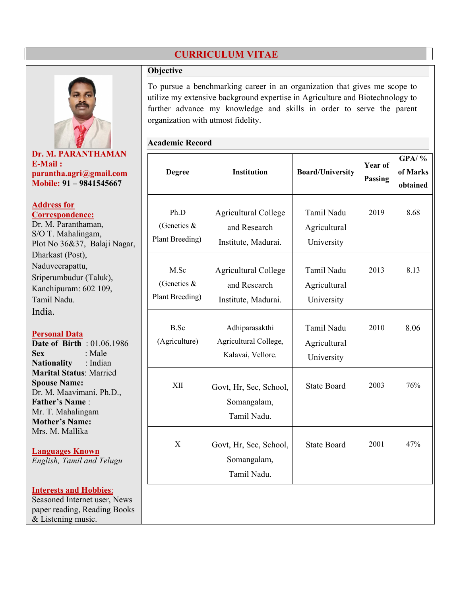# CURRICULUM VITAE



To pursue a benchmarking career in an organization that gives me scope to utilize my extensive background expertise in Agriculture and Biotechnology to further advance my knowledge and skills in order to serve the parent organization with utmost fidelity.

### Academic Record

| <b>Degree</b>                          | Institution                                                                               | <b>Board/University</b>                                | Year of<br>Passing | $GPA/$ %<br>of Marks<br>obtained |
|----------------------------------------|-------------------------------------------------------------------------------------------|--------------------------------------------------------|--------------------|----------------------------------|
| Ph.D<br>(Genetics &<br>Plant Breeding) | <b>Agricultural College</b><br>and Research                                               | Tamil Nadu<br>Agricultural                             | 2019               | 8.68                             |
| M.Sc<br>(Genetics &<br>Plant Breeding) | Institute, Madurai.<br><b>Agricultural College</b><br>and Research<br>Institute, Madurai. | University<br>Tamil Nadu<br>Agricultural<br>University | 2013               | 8.13                             |
| <b>B.Sc</b><br>(Agriculture)           | Adhiparasakthi<br>Agricultural College,<br>Kalavai, Vellore.                              | Tamil Nadu<br>Agricultural<br>University               | 2010               | 8.06                             |
| XII                                    | Govt, Hr, Sec, School,<br>Somangalam,<br>Tamil Nadu.                                      | <b>State Board</b>                                     | 2003               | 76%                              |
| $\mathbf X$                            | Govt, Hr, Sec, School,<br>Somangalam,<br>Tamil Nadu.                                      | <b>State Board</b>                                     | 2001               | 47%                              |

# Dr. M. PARANTHAMA E-Mail : parantha.agri@gmail.com Mobile: 91 – 9841545667

Address for Correspondence: Dr. M. Paranthaman, S/O T. Mahalingam, Plot No 36&37, Balaji Na Dharkast (Post), Naduveerapattu, Sriperumbudur (Taluk), Kanchipuram: 602 109, Tamil Nadu. India.

# Personal Data

Date of Birth :  $01.06.19$ Sex : Male Nationality : Indian Marital Status: Married Spouse Name: Dr. M. Maavimani. Ph.D., Father's Name : Mr. T. Mahalingam Mother's Name: Mrs. M. Mallika

Languages Known *English, Tamil and Telugu*

#### Interests and Hobbies: Seasoned Internet user, New

paper reading, Reading Bo & Listening music.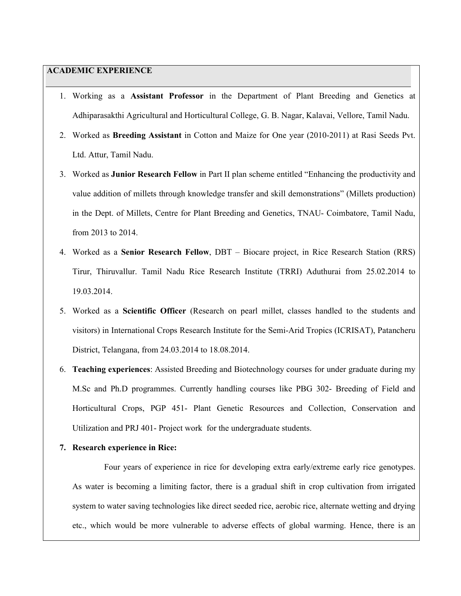### ACADEMIC EXPERIENCE

- 1. Working as a Assistant Professor in the Department of Plant Breeding and Genetics at Adhiparasakthi Agricultural and Horticultural College, G. B. Nagar, Kalavai, Vellore, Tamil Nadu.
- 2. Worked as Breeding Assistant in Cotton and Maize for One year (2010-2011) at Rasi Seeds Pvt. Ltd. Attur, Tamil Nadu.
- 3. Worked as Junior Research Fellow in Part II plan scheme entitled "Enhancing the productivity and value addition of millets through knowledge transfer and skill demonstrations" (Millets production) in the Dept. of Millets, Centre for Plant Breeding and Genetics, TNAU- Coimbatore, Tamil Nadu, from 2013 to 2014.
- 4. Worked as a Senior Research Fellow, DBT Biocare project, in Rice Research Station (RRS) Tirur, Thiruvallur. Tamil Nadu Rice Research Institute (TRRI) Aduthurai from 25.02.2014 to 19.03.2014.
- 5. Worked as a Scientific Officer (Research on pearl millet, classes handled to the students and visitors) in International Crops Research Institute for the Semi-Arid Tropics (ICRISAT), Patancheru District, Telangana, from 24.03.2014 to 18.08.2014.
- 6. Teaching experiences: Assisted Breeding and Biotechnology courses for under graduate during my M.Sc and Ph.D programmes. Currently handling courses like PBG 302- Breeding of Field and Horticultural Crops, PGP 451- Plant Genetic Resources and Collection, Conservation and Utilization and PRJ 401- Project work for the undergraduate students.
- 7. Research experience in Rice:

 Four years of experience in rice for developing extra early/extreme early rice genotypes. As water is becoming a limiting factor, there is a gradual shift in crop cultivation from irrigated system to water saving technologies like direct seeded rice, aerobic rice, alternate wetting and drying etc., which would be more vulnerable to adverse effects of global warming. Hence, there is an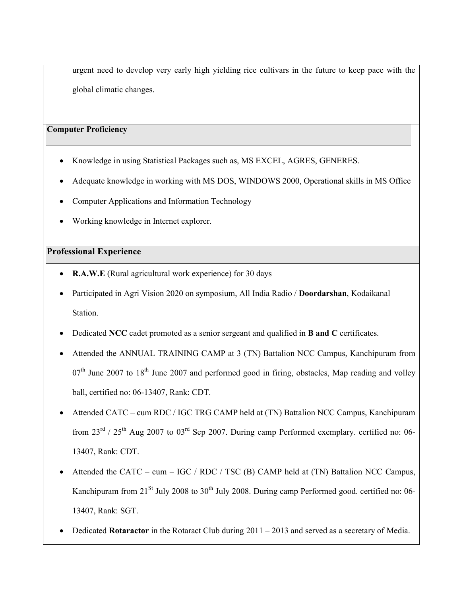urgent need to develop very early high yielding rice cultivars in the future to keep pace with the global climatic changes.

### Computer Proficiency

- Knowledge in using Statistical Packages such as, MS EXCEL, AGRES, GENERES.
- Adequate knowledge in working with MS DOS, WINDOWS 2000, Operational skills in MS Office
- Computer Applications and Information Technology
- Working knowledge in Internet explorer.

### Professional Experience

- R.A.W.E (Rural agricultural work experience) for 30 days
- Participated in Agri Vision 2020 on symposium, All India Radio / Doordarshan, Kodaikanal Station.
- Dedicated NCC cadet promoted as a senior sergeant and qualified in B and C certificates.
- Attended the ANNUAL TRAINING CAMP at 3 (TN) Battalion NCC Campus, Kanchipuram from  $07<sup>th</sup>$  June 2007 to 18<sup>th</sup> June 2007 and performed good in firing, obstacles, Map reading and volley ball, certified no: 06-13407, Rank: CDT.
- Attended CATC cum RDC / IGC TRG CAMP held at (TN) Battalion NCC Campus, Kanchipuram from  $23^{\text{rd}}$  /  $25^{\text{th}}$  Aug 2007 to 03<sup>rd</sup> Sep 2007. During camp Performed exemplary. certified no: 06-13407, Rank: CDT.
- Attended the CATC cum IGC / RDC / TSC (B) CAMP held at (TN) Battalion NCC Campus, Kanchipuram from  $21^{St}$  July 2008 to  $30^{th}$  July 2008. During camp Performed good. certified no: 06-13407, Rank: SGT.
- Dedicated Rotaractor in the Rotaract Club during  $2011 2013$  and served as a secretary of Media.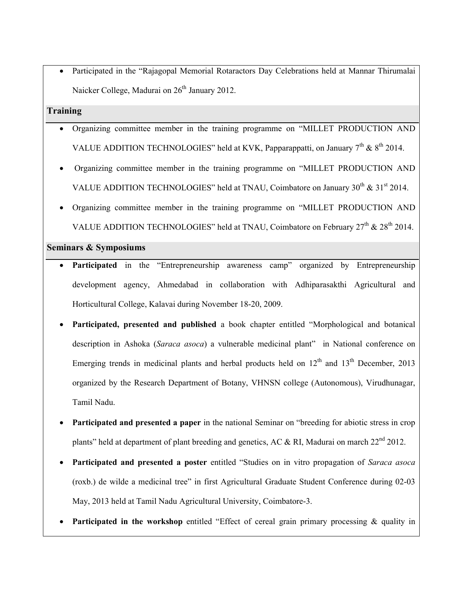Participated in the "Rajagopal Memorial Rotaractors Day Celebrations held at Mannar Thirumalai Naicker College, Madurai on 26<sup>th</sup> January 2012.

### Training

- Organizing committee member in the training programme on "MILLET PRODUCTION AND VALUE ADDITION TECHNOLOGIES" held at KVK, Papparappatti, on January 7<sup>th</sup> & 8<sup>th</sup> 2014.
- Organizing committee member in the training programme on "MILLET PRODUCTION AND VALUE ADDITION TECHNOLOGIES" held at TNAU, Coimbatore on January  $30^{th}$  &  $31^{st}$  2014.
- Organizing committee member in the training programme on "MILLET PRODUCTION AND VALUE ADDITION TECHNOLOGIES" held at TNAU, Coimbatore on February  $27<sup>th</sup>$  &  $28<sup>th</sup>$  2014.

### Seminars & Symposiums

- Participated in the "Entrepreneurship awareness camp" organized by Entrepreneurship development agency, Ahmedabad in collaboration with Adhiparasakthi Agricultural and Horticultural College, Kalavai during November 18-20, 2009.
- Participated, presented and published a book chapter entitled "Morphological and botanical description in Ashoka (*Saraca asoca*) a vulnerable medicinal plant" in National conference on Emerging trends in medicinal plants and herbal products held on  $12<sup>th</sup>$  and  $13<sup>th</sup>$  December, 2013 organized by the Research Department of Botany, VHNSN college (Autonomous), Virudhunagar, Tamil Nadu.
- Participated and presented a paper in the national Seminar on "breeding for abiotic stress in crop plants" held at department of plant breeding and genetics, AC & RI, Madurai on march  $22^{nd}$  2012.
- Participated and presented a poster entitled "Studies on in vitro propagation of *Saraca asoca* (roxb.) de wilde a medicinal tree" in first Agricultural Graduate Student Conference during 02-03 May, 2013 held at Tamil Nadu Agricultural University, Coimbatore-3.
- Participated in the workshop entitled "Effect of cereal grain primary processing & quality in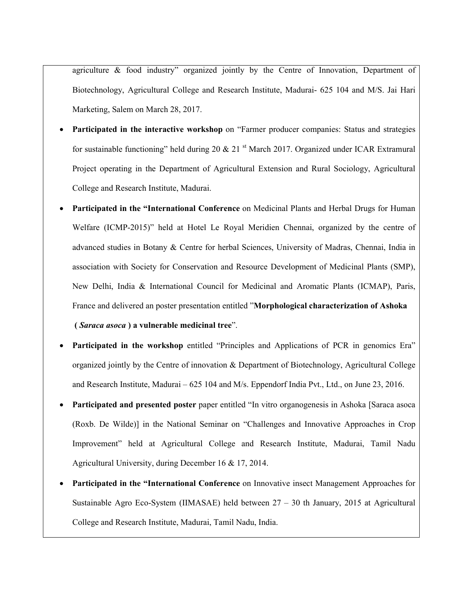agriculture & food industry" organized jointly by the Centre of Innovation, Department of Biotechnology, Agricultural College and Research Institute, Madurai- 625 104 and M/S. Jai Hari Marketing, Salem on March 28, 2017.

- Participated in the interactive workshop on "Farmer producer companies: Status and strategies for sustainable functioning" held during 20  $\&$  21<sup>st</sup> March 2017. Organized under ICAR Extramural Project operating in the Department of Agricultural Extension and Rural Sociology, Agricultural College and Research Institute, Madurai.
- Participated in the "International Conference on Medicinal Plants and Herbal Drugs for Human Welfare (ICMP-2015)" held at Hotel Le Royal Meridien Chennai, organized by the centre of advanced studies in Botany & Centre for herbal Sciences, University of Madras, Chennai, India in association with Society for Conservation and Resource Development of Medicinal Plants (SMP), New Delhi, India & International Council for Medicinal and Aromatic Plants (ICMAP), Paris, France and delivered an poster presentation entitled "Morphological characterization of Ashoka ( *Saraca asoca* ) a vulnerable medicinal tree".
- Participated in the workshop entitled "Principles and Applications of PCR in genomics Era" organized jointly by the Centre of innovation & Department of Biotechnology, Agricultural College and Research Institute, Madurai – 625 104 and M/s. Eppendorf India Pvt., Ltd., on June 23, 2016.
- Participated and presented poster paper entitled "In vitro organogenesis in Ashoka [Saraca asoca (Roxb. De Wilde)] in the National Seminar on "Challenges and Innovative Approaches in Crop Improvement" held at Agricultural College and Research Institute, Madurai, Tamil Nadu Agricultural University, during December 16 & 17, 2014.
- Participated in the "International Conference on Innovative insect Management Approaches for Sustainable Agro Eco-System (IIMASAE) held between 27 – 30 th January, 2015 at Agricultural College and Research Institute, Madurai, Tamil Nadu, India.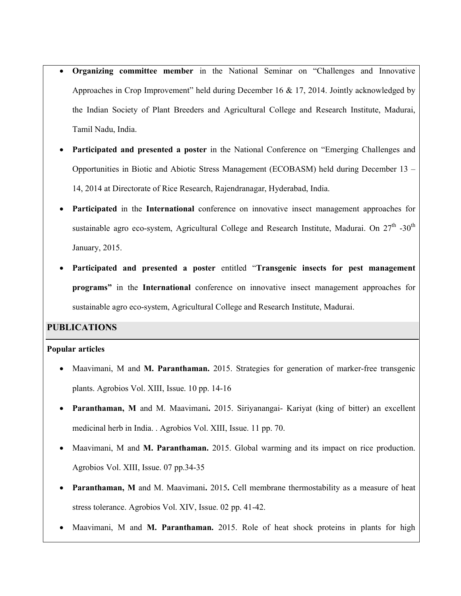- Organizing committee member in the National Seminar on "Challenges and Innovative Approaches in Crop Improvement" held during December 16 & 17, 2014. Jointly acknowledged by the Indian Society of Plant Breeders and Agricultural College and Research Institute, Madurai, Tamil Nadu, India.
- Participated and presented a poster in the National Conference on "Emerging Challenges and Opportunities in Biotic and Abiotic Stress Management (ECOBASM) held during December 13 – 14, 2014 at Directorate of Rice Research, Rajendranagar, Hyderabad, India.
- Participated in the International conference on innovative insect management approaches for sustainable agro eco-system, Agricultural College and Research Institute, Madurai. On  $27<sup>th</sup>$  -30<sup>th</sup> January, 2015.
- Participated and presented a poster entitled "Transgenic insects for pest management programs" in the International conference on innovative insect management approaches for sustainable agro eco-system, Agricultural College and Research Institute, Madurai.

# PUBLICATIONS

#### Popular articles

- Maavimani, M and M. Paranthaman. 2015. Strategies for generation of marker-free transgenic plants. Agrobios Vol. XIII, Issue. 10 pp. 14-16
- Paranthaman, M and M. Maavimani. 2015. Siriyanangai- Kariyat (king of bitter) an excellent medicinal herb in India. . Agrobios Vol. XIII, Issue. 11 pp. 70.
- Maavimani, M and M. Paranthaman. 2015. Global warming and its impact on rice production. Agrobios Vol. XIII, Issue. 07 pp.34-35
- Paranthaman, M and M. Maavimani. 2015. Cell membrane thermostability as a measure of heat stress tolerance. Agrobios Vol. XIV, Issue. 02 pp. 41-42.
- Maavimani, M and M. Paranthaman. 2015. Role of heat shock proteins in plants for high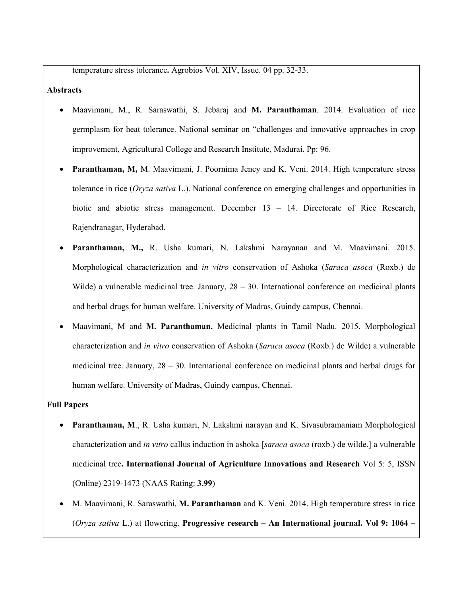temperature stress tolerance. Agrobios Vol. XIV, Issue. 04 pp. 32-33.

#### **Abstracts**

- Maavimani, M., R. Saraswathi, S. Jebaraj and M. Paranthaman. 2014. Evaluation of rice germplasm for heat tolerance. National seminar on "challenges and innovative approaches in crop improvement, Agricultural College and Research Institute, Madurai. Pp: 96.
- Paranthaman, M, M. Maavimani, J. Poornima Jency and K. Veni. 2014. High temperature stress tolerance in rice (*Oryza sativa* L.). National conference on emerging challenges and opportunities in biotic and abiotic stress management. December 13 – 14. Directorate of Rice Research, Rajendranagar, Hyderabad.
- Paranthaman, M., R. Usha kumari, N. Lakshmi Narayanan and M. Maavimani. 2015. Morphological characterization and *in vitro* conservation of Ashoka (*Saraca asoca* (Roxb.) de Wilde) a vulnerable medicinal tree. January, 28 – 30. International conference on medicinal plants and herbal drugs for human welfare. University of Madras, Guindy campus, Chennai.
- Maavimani, M and M. Paranthaman. Medicinal plants in Tamil Nadu. 2015. Morphological characterization and *in vitro* conservation of Ashoka (*Saraca asoca* (Roxb.) de Wilde) a vulnerable medicinal tree. January,  $28 - 30$ . International conference on medicinal plants and herbal drugs for human welfare. University of Madras, Guindy campus, Chennai.

### Full Papers

- Paranthaman, M., R. Usha kumari, N. Lakshmi narayan and K. Sivasubramaniam Morphological characterization and *in vitro* callus induction in ashoka [*saraca asoca* (roxb.) de wilde.] a vulnerable medicinal tree. International Journal of Agriculture Innovations and Research Vol 5: 5, ISSN (Online) 2319-1473 (NAAS Rating: 3.99)
- M. Maavimani, R. Saraswathi, M. Paranthaman and K. Veni. 2014. High temperature stress in rice (*Oryza sativa* L.) at flowering. Progressive research – An International journal. Vol 9: 1064 –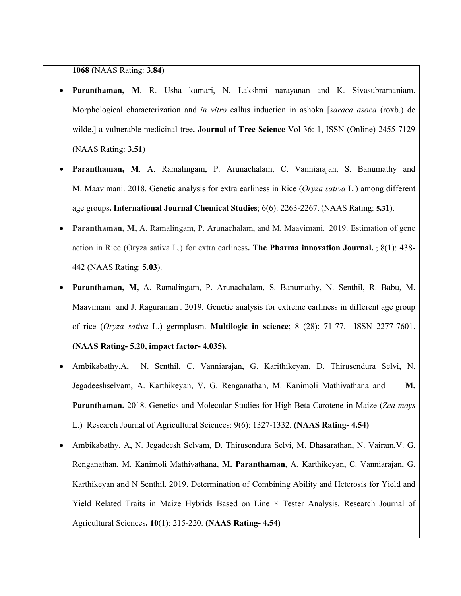1068 (NAAS Rating: 3.84)

- Paranthaman, M. R. Usha kumari, N. Lakshmi narayanan and K. Sivasubramaniam. Morphological characterization and *in vitro* callus induction in ashoka [*saraca asoca* (roxb.) de wilde.] a vulnerable medicinal tree. **Journal of Tree Science** Vol 36: 1, ISSN (Online) 2455-7129 (NAAS Rating: 3.51)
- Paranthaman, M. A. Ramalingam, P. Arunachalam, C. Vanniarajan, S. Banumathy and M. Maavimani. 2018. Genetic analysis for extra earliness in Rice (*Oryza sativa* L.) among different age groups. International Journal Chemical Studies; 6(6): 2263-2267. (NAAS Rating: 5.31).
- Paranthaman, M, A. Ramalingam, P. Arunachalam, and M. Maavimani. 2019. Estimation of gene action in Rice (Oryza sativa L.) for extra earliness. The Pharma innovation Journal. ; 8(1): 438-442 (NAAS Rating: 5.03).
- Paranthaman, M, A. Ramalingam, P. Arunachalam, S. Banumathy, N. Senthil, R. Babu, M. Maavimani and J. Raguraman . 2019. Genetic analysis for extreme earliness in different age group of rice (*Oryza sativa* L.) germplasm. Multilogic in science; 8 (28): 71-77. ISSN 2277-7601. (NAAS Rating- 5.20, impact factor- 4.035).
- Ambikabathy,A, N. Senthil, C. Vanniarajan, G. Karithikeyan, D. Thirusendura Selvi, N. Jegadeeshselvam, A. Karthikeyan, V. G. Renganathan, M. Kanimoli Mathivathana and M. Paranthaman. 2018. Genetics and Molecular Studies for High Beta Carotene in Maize (*Zea mays*  L.) Research Journal of Agricultural Sciences: 9(6): 1327-1332. (NAAS Rating- 4.54)
- Ambikabathy, A, N. Jegadeesh Selvam, D. Thirusendura Selvi, M. Dhasarathan, N. Vairam,V. G. Renganathan, M. Kanimoli Mathivathana, M. Paranthaman, A. Karthikeyan, C. Vanniarajan, G. Karthikeyan and N Senthil. 2019. Determination of Combining Ability and Heterosis for Yield and Yield Related Traits in Maize Hybrids Based on Line × Tester Analysis. Research Journal of Agricultural Sciences. 10(1): 215-220. (NAAS Rating- 4.54)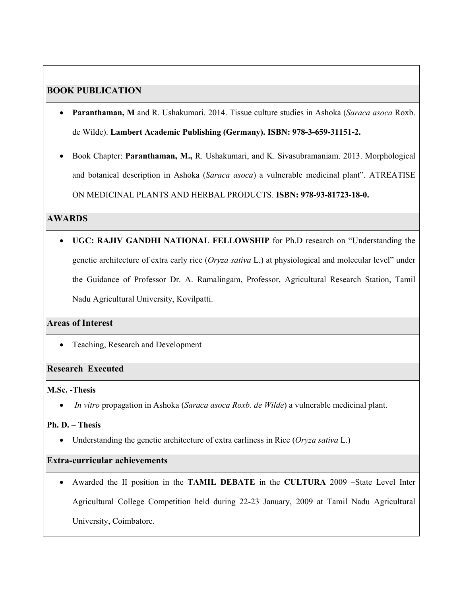# BOOK PUBLICATION

- Paranthaman, M and R. Ushakumari. 2014. Tissue culture studies in Ashoka (*Saraca asoca* Roxb. de Wilde). Lambert Academic Publishing (Germany). ISBN: 978-3-659-31151-2.
- Book Chapter: Paranthaman, M., R. Ushakumari, and K. Sivasubramaniam. 2013. Morphological and botanical description in Ashoka (*Saraca asoca*) a vulnerable medicinal plant". ATREATISE ON MEDICINAL PLANTS AND HERBAL PRODUCTS. ISBN: 978-93-81723-18-0.

### AWARDS

 UGC: RAJIV GANDHI NATIONAL FELLOWSHIP for Ph.D research on "Understanding the genetic architecture of extra early rice (*Oryza sativa* L.) at physiological and molecular level" under the Guidance of Professor Dr. A. Ramalingam, Professor, Agricultural Research Station, Tamil Nadu Agricultural University, Kovilpatti.

# Areas of Interest

• Teaching, Research and Development

### Research Executed

### M.Sc. -Thesis

*In vitro* propagation in Ashoka (*Saraca asoca Roxb. de Wilde*) a vulnerable medicinal plant.

### Ph. D. – Thesis

Understanding the genetic architecture of extra earliness in Rice (*Oryza sativa* L.)

### Extra-curricular achievements

 Awarded the II position in the TAMIL DEBATE in the CULTURA 2009 –State Level Inter Agricultural College Competition held during 22-23 January, 2009 at Tamil Nadu Agricultural University, Coimbatore.